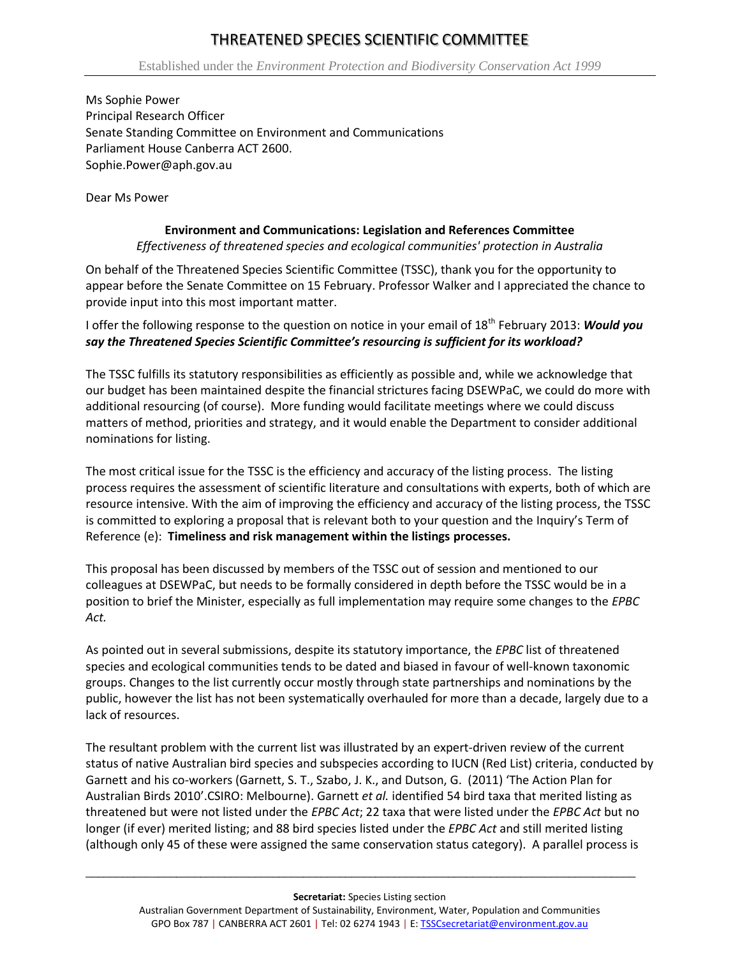## THREATENED SPECIES SCIENTIFIC COMMITTEE

Ms Sophie Power Principal Research Officer Senate Standing Committee on Environment and Communications Parliament House Canberra ACT 2600. Sophie.Power@aph.gov.au

Dear Ms Power

## **Environment and Communications: Legislation and References Committee**

*Effectiveness of threatened species and ecological communities' protection in Australia*

On behalf of the Threatened Species Scientific Committee (TSSC), thank you for the opportunity to appear before the Senate Committee on 15 February. Professor Walker and I appreciated the chance to provide input into this most important matter.

I offer the following response to the question on notice in your email of 18<sup>th</sup> February 2013: Would vou *say the Threatened Species Scientific Committee's resourcing is sufficient for its workload?*

The TSSC fulfills its statutory responsibilities as efficiently as possible and, while we acknowledge that our budget has been maintained despite the financial strictures facing DSEWPaC, we could do more with additional resourcing (of course). More funding would facilitate meetings where we could discuss matters of method, priorities and strategy, and it would enable the Department to consider additional nominations for listing.

The most critical issue for the TSSC is the efficiency and accuracy of the listing process. The listing process requires the assessment of scientific literature and consultations with experts, both of which are resource intensive. With the aim of improving the efficiency and accuracy of the listing process, the TSSC is committed to exploring a proposal that is relevant both to your question and the Inquiry's Term of Reference (e): **Timeliness and risk management within the listings processes.** 

This proposal has been discussed by members of the TSSC out of session and mentioned to our colleagues at DSEWPaC, but needs to be formally considered in depth before the TSSC would be in a position to brief the Minister, especially as full implementation may require some changes to the *EPBC Act.*

As pointed out in several submissions, despite its statutory importance, the *EPBC* list of threatened species and ecological communities tends to be dated and biased in favour of well-known taxonomic groups. Changes to the list currently occur mostly through state partnerships and nominations by the public, however the list has not been systematically overhauled for more than a decade, largely due to a lack of resources.

The resultant problem with the current list was illustrated by an expert-driven review of the current status of native Australian bird species and subspecies according to IUCN (Red List) criteria, conducted by Garnett and his co-workers (Garnett, S. T., Szabo, J. K., and Dutson, G. (2011) 'The Action Plan for Australian Birds 2010'.CSIRO: Melbourne). Garnett *et al.* identified 54 bird taxa that merited listing as threatened but were not listed under the *EPBC Act*; 22 taxa that were listed under the *EPBC Act* but no longer (if ever) merited listing; and 88 bird species listed under the *EPBC Act* and still merited listing (although only 45 of these were assigned the same conservation status category). A parallel process is

 $\overline{a}$  ,  $\overline{a}$  ,  $\overline{a}$  ,  $\overline{a}$  ,  $\overline{a}$  ,  $\overline{a}$  ,  $\overline{a}$  ,  $\overline{a}$  ,  $\overline{a}$  ,  $\overline{a}$  ,  $\overline{a}$  ,  $\overline{a}$  ,  $\overline{a}$  ,  $\overline{a}$  ,  $\overline{a}$  ,  $\overline{a}$  ,  $\overline{a}$  ,  $\overline{a}$  ,  $\overline{a}$  ,  $\overline{a}$  ,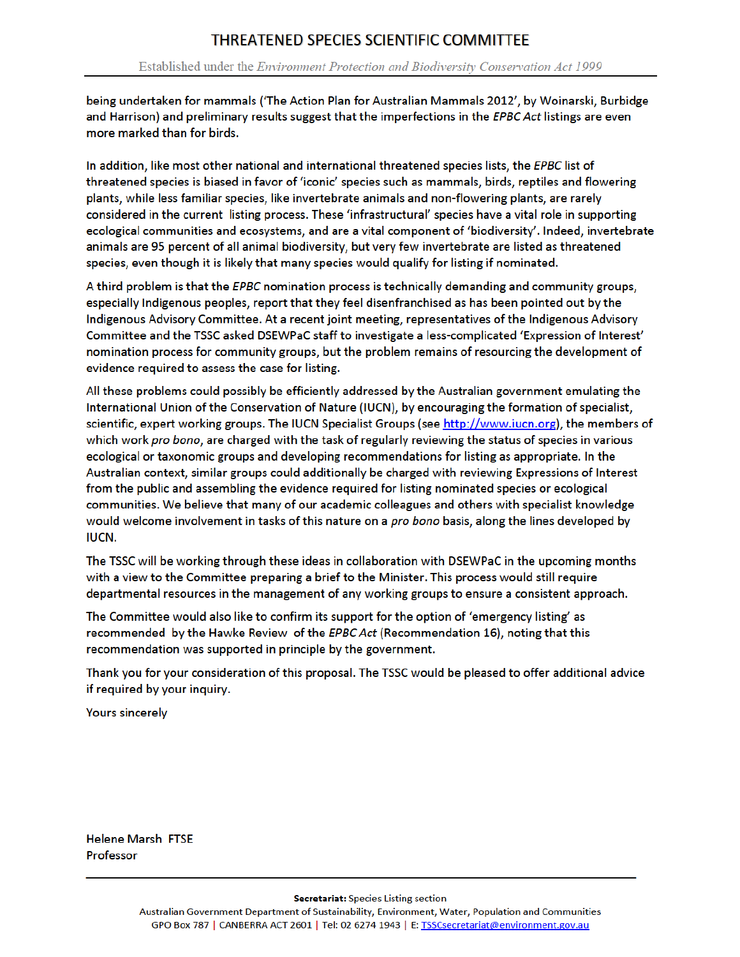being undertaken for mammals ('The Action Plan for Australian Mammals 2012', by Woinarski, Burbidge and Harrison) and preliminary results suggest that the imperfections in the EPBC Act listings are even more marked than for birds.

In addition, like most other national and international threatened species lists, the EPBC list of threatened species is biased in favor of 'iconic' species such as mammals, birds, reptiles and flowering plants, while less familiar species, like invertebrate animals and non-flowering plants, are rarely considered in the current listing process. These 'infrastructural' species have a vital role in supporting ecological communities and ecosystems, and are a vital component of 'biodiversity'. Indeed, invertebrate animals are 95 percent of all animal biodiversity, but very few invertebrate are listed as threatened species, even though it is likely that many species would qualify for listing if nominated.

A third problem is that the EPBC nomination process is technically demanding and community groups, especially Indigenous peoples, report that they feel disenfranchised as has been pointed out by the Indigenous Advisory Committee. At a recent joint meeting, representatives of the Indigenous Advisory Committee and the TSSC asked DSEWPaC staff to investigate a less-complicated 'Expression of Interest' nomination process for community groups, but the problem remains of resourcing the development of evidence required to assess the case for listing.

All these problems could possibly be efficiently addressed by the Australian government emulating the International Union of the Conservation of Nature (IUCN), by encouraging the formation of specialist, scientific, expert working groups. The IUCN Specialist Groups (see http://www.iucn.org), the members of which work pro bono, are charged with the task of regularly reviewing the status of species in various ecological or taxonomic groups and developing recommendations for listing as appropriate. In the Australian context, similar groups could additionally be charged with reviewing Expressions of Interest from the public and assembling the evidence required for listing nominated species or ecological communities. We believe that many of our academic colleagues and others with specialist knowledge would welcome involvement in tasks of this nature on a pro bono basis, along the lines developed by **IUCN.** 

The TSSC will be working through these ideas in collaboration with DSEWPaC in the upcoming months with a view to the Committee preparing a brief to the Minister. This process would still require departmental resources in the management of any working groups to ensure a consistent approach.

The Committee would also like to confirm its support for the option of 'emergency listing' as recommended by the Hawke Review of the EPBC Act (Recommendation 16), noting that this recommendation was supported in principle by the government.

Thank you for your consideration of this proposal. The TSSC would be pleased to offer additional advice if required by your inquiry.

**Yours sincerely** 

**Helene Marsh FTSE** Professor

Secretariat: Species Listing section